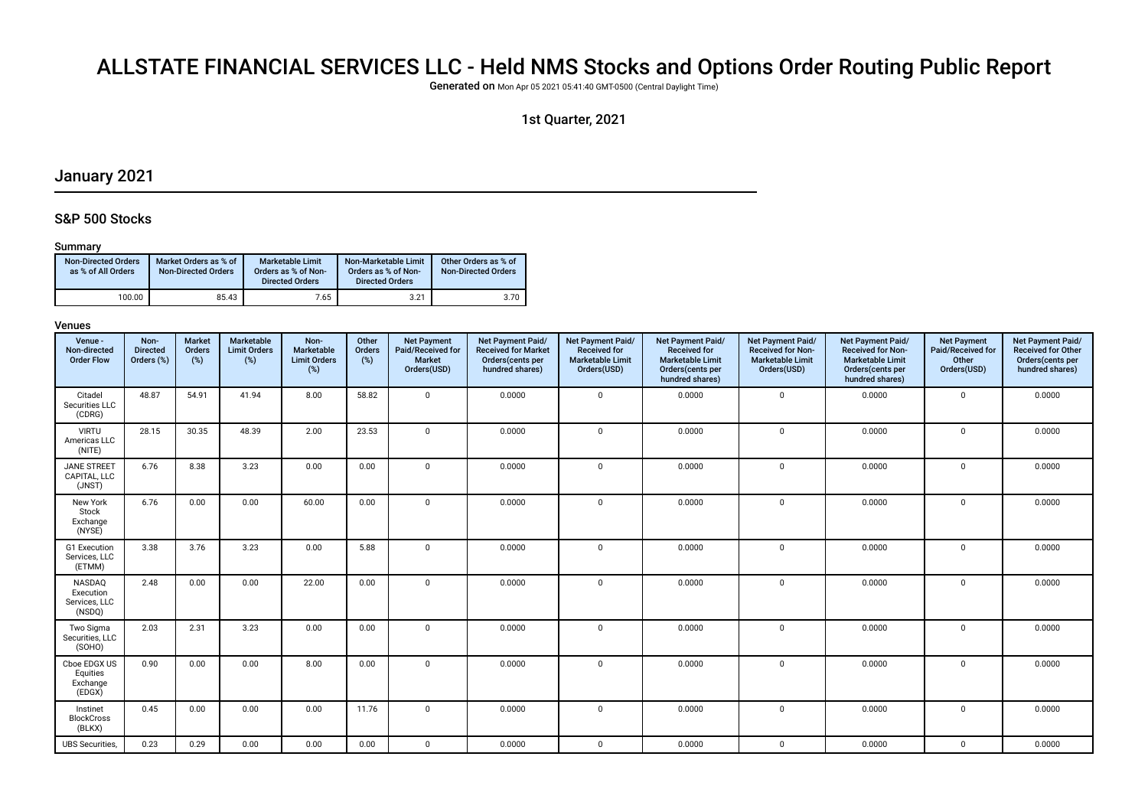# ALLSTATE FINANCIAL SERVICES LLC - Held NMS Stocks and Options Order Routing Public Report

Generated on Mon Apr 05 2021 05:41:40 GMT-0500 (Central Daylight Time)

# 1st Quarter, 2021

# January 2021

# S&P 500 Stocks

#### Summary

| <b>Non-Directed Orders</b><br>as % of All Orders | Market Orders as % of<br><b>Non-Directed Orders</b> | Marketable Limit<br>Orders as % of Non-<br><b>Directed Orders</b> | Non-Marketable Limit<br>Orders as % of Non-<br><b>Directed Orders</b> | Other Orders as % of<br><b>Non-Directed Orders</b> |
|--------------------------------------------------|-----------------------------------------------------|-------------------------------------------------------------------|-----------------------------------------------------------------------|----------------------------------------------------|
| 100.00                                           | 85.43                                               | 7.65                                                              | 3.21                                                                  | 3.70                                               |

| Venue -<br>Non-directed<br><b>Order Flow</b>   | Non-<br><b>Directed</b><br>Orders (%) | <b>Market</b><br>Orders<br>$(\%)$ | Marketable<br><b>Limit Orders</b><br>(%) | Non-<br>Marketable<br><b>Limit Orders</b><br>(%) | Other<br>Orders<br>(%) | <b>Net Payment</b><br>Paid/Received for<br><b>Market</b><br>Orders(USD) | Net Payment Paid/<br><b>Received for Market</b><br>Orders(cents per<br>hundred shares) | Net Payment Paid/<br><b>Received for</b><br><b>Marketable Limit</b><br>Orders(USD) | <b>Net Payment Paid/</b><br><b>Received for</b><br><b>Marketable Limit</b><br>Orders(cents per<br>hundred shares) | Net Payment Paid/<br><b>Received for Non-</b><br><b>Marketable Limit</b><br>Orders(USD) | Net Payment Paid/<br><b>Received for Non-</b><br><b>Marketable Limit</b><br>Orders(cents per<br>hundred shares) | <b>Net Payment</b><br>Paid/Received for<br>Other<br>Orders(USD) | Net Payment Paid/<br><b>Received for Other</b><br>Orders(cents per<br>hundred shares) |
|------------------------------------------------|---------------------------------------|-----------------------------------|------------------------------------------|--------------------------------------------------|------------------------|-------------------------------------------------------------------------|----------------------------------------------------------------------------------------|------------------------------------------------------------------------------------|-------------------------------------------------------------------------------------------------------------------|-----------------------------------------------------------------------------------------|-----------------------------------------------------------------------------------------------------------------|-----------------------------------------------------------------|---------------------------------------------------------------------------------------|
| Citadel<br>Securities LLC<br>(CDRG)            | 48.87                                 | 54.91                             | 41.94                                    | 8.00                                             | 58.82                  | $\mathbf 0$                                                             | 0.0000                                                                                 | $\mathbf 0$                                                                        | 0.0000                                                                                                            | $\mathbf 0$                                                                             | 0.0000                                                                                                          | $\mathbf 0$                                                     | 0.0000                                                                                |
| <b>VIRTU</b><br>Americas LLC<br>(NITE)         | 28.15                                 | 30.35                             | 48.39                                    | 2.00                                             | 23.53                  | $\mathbf 0$                                                             | 0.0000                                                                                 | $\mathsf 0$                                                                        | 0.0000                                                                                                            | $\mathbf 0$                                                                             | 0.0000                                                                                                          | $\mathbf 0$                                                     | 0.0000                                                                                |
| <b>JANE STREET</b><br>CAPITAL, LLC<br>(JNST)   | 6.76                                  | 8.38                              | 3.23                                     | 0.00                                             | 0.00                   | $\mathbf 0$                                                             | 0.0000                                                                                 | $\mathbf 0$                                                                        | 0.0000                                                                                                            | $\mathbf 0$                                                                             | 0.0000                                                                                                          | $\mathbf 0$                                                     | 0.0000                                                                                |
| New York<br>Stock<br>Exchange<br>(NYSE)        | 6.76                                  | 0.00                              | 0.00                                     | 60.00                                            | 0.00                   | $\mathbf 0$                                                             | 0.0000                                                                                 | $\mathbf 0$                                                                        | 0.0000                                                                                                            | 0                                                                                       | 0.0000                                                                                                          | $\mathbf 0$                                                     | 0.0000                                                                                |
| G1 Execution<br>Services, LLC<br>(ETMM)        | 3.38                                  | 3.76                              | 3.23                                     | 0.00                                             | 5.88                   | $\mathbf 0$                                                             | 0.0000                                                                                 | $\mathbf{0}$                                                                       | 0.0000                                                                                                            | 0                                                                                       | 0.0000                                                                                                          | $\mathbf 0$                                                     | 0.0000                                                                                |
| NASDAQ<br>Execution<br>Services, LLC<br>(NSDQ) | 2.48                                  | 0.00                              | 0.00                                     | 22.00                                            | 0.00                   | $\mathbf{0}$                                                            | 0.0000                                                                                 | $\mathbf{0}$                                                                       | 0.0000                                                                                                            | 0                                                                                       | 0.0000                                                                                                          | $\Omega$                                                        | 0.0000                                                                                |
| Two Sigma<br>Securities, LLC<br>(SOHO)         | 2.03                                  | 2.31                              | 3.23                                     | 0.00                                             | 0.00                   | $\mathbf{0}$                                                            | 0.0000                                                                                 | $\mathbf{0}$                                                                       | 0.0000                                                                                                            | $\mathbf 0$                                                                             | 0.0000                                                                                                          | $\Omega$                                                        | 0.0000                                                                                |
| Cboe EDGX US<br>Equities<br>Exchange<br>(EDGX) | 0.90                                  | 0.00                              | 0.00                                     | 8.00                                             | 0.00                   | $\mathbf 0$                                                             | 0.0000                                                                                 | $\mathbf 0$                                                                        | 0.0000                                                                                                            | $\mathbf 0$                                                                             | 0.0000                                                                                                          | $\Omega$                                                        | 0.0000                                                                                |
| Instinet<br><b>BlockCross</b><br>(BLKX)        | 0.45                                  | 0.00                              | 0.00                                     | 0.00                                             | 11.76                  | $\mathbf 0$                                                             | 0.0000                                                                                 | $\mathbf{0}$                                                                       | 0.0000                                                                                                            | 0                                                                                       | 0.0000                                                                                                          | $\Omega$                                                        | 0.0000                                                                                |
| <b>UBS</b> Securities,                         | 0.23                                  | 0.29                              | 0.00                                     | 0.00                                             | 0.00                   | $\mathbf 0$                                                             | 0.0000                                                                                 | $\mathbf 0$                                                                        | 0.0000                                                                                                            | 0                                                                                       | 0.0000                                                                                                          | $\mathbf 0$                                                     | 0.0000                                                                                |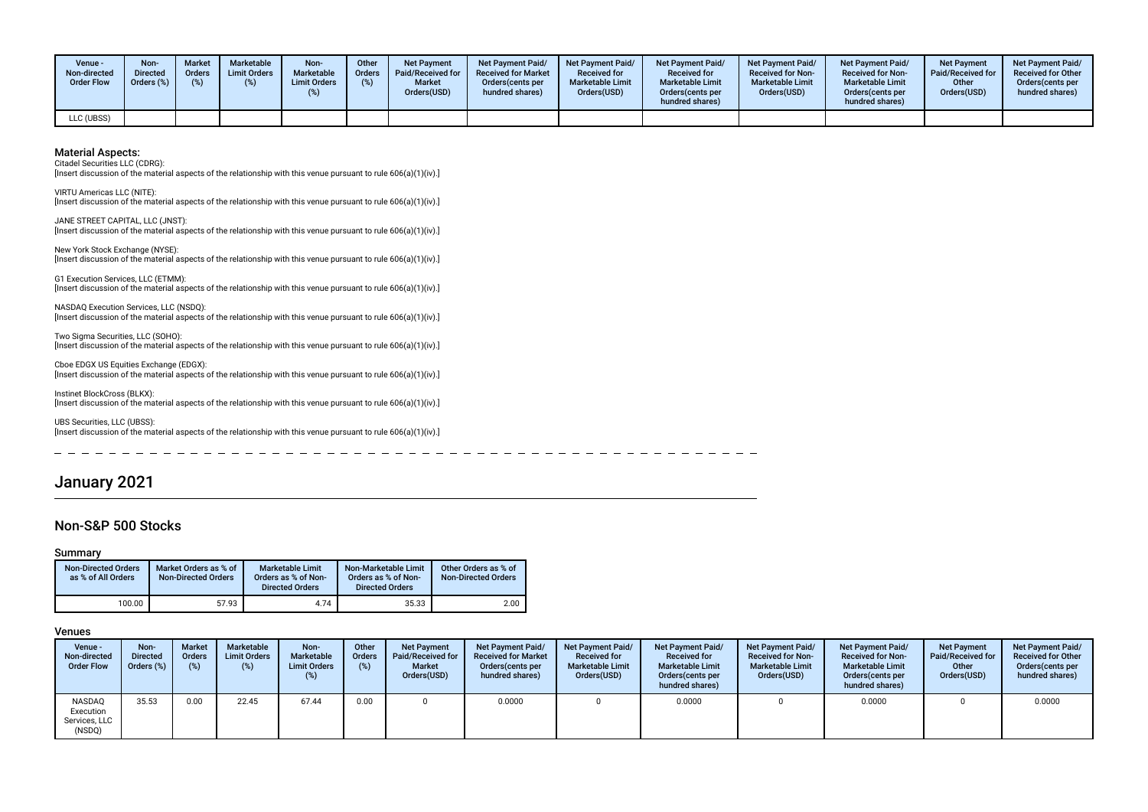| Venue ·<br>Non-directed<br><b>Order Flow</b> | Non-<br><b>Directed</b><br>Orders (%) | <b>Market</b><br>Orders<br>(%) | <b>Marketable</b><br><b>Limit Orders</b> | Non-<br>Marketable<br><b>Limit Orders</b> | Other<br>Orders<br>(%) | <b>Net Payment</b><br><b>Paid/Received for</b><br><b>Market</b><br>Orders(USD) | Net Payment Paid/<br><b>Received for Market</b><br>Orders (cents per<br>hundred shares) | <b>Net Payment Paid/</b><br><b>Received for</b><br><b>Marketable Limit</b><br>Orders(USD) | Net Payment Paid/<br><b>Received for</b><br><b>Marketable Limit</b><br>Orders (cents per<br>hundred shares) | Net Payment Paid/<br><b>Received for Non-</b><br><b>Marketable Limit</b><br>Orders(USD) | <b>Net Payment Paid/</b><br><b>Received for Non-</b><br><b>Marketable Limit</b><br>Orders(cents per<br>hundred shares) | <b>Net Payment</b><br>Paid/Received for<br>Other<br>Orders(USD) | <b>Net Payment Paid/</b><br><b>Received for Other</b><br>Orders(cents per<br>hundred shares) |
|----------------------------------------------|---------------------------------------|--------------------------------|------------------------------------------|-------------------------------------------|------------------------|--------------------------------------------------------------------------------|-----------------------------------------------------------------------------------------|-------------------------------------------------------------------------------------------|-------------------------------------------------------------------------------------------------------------|-----------------------------------------------------------------------------------------|------------------------------------------------------------------------------------------------------------------------|-----------------------------------------------------------------|----------------------------------------------------------------------------------------------|
| LLC (UBSS)                                   |                                       |                                |                                          |                                           |                        |                                                                                |                                                                                         |                                                                                           |                                                                                                             |                                                                                         |                                                                                                                        |                                                                 |                                                                                              |

Citadel Securities LLC (CDRG):

[Insert discussion of the material aspects of the relationship with this venue pursuant to rule 606(a)(1)(iv).]

VIRTU Americas LLC (NITE): [Insert discussion of the material aspects of the relationship with this venue pursuant to rule 606(a)(1)(iv).]

JANE STREET CAPITAL, LLC (JNST): [Insert discussion of the material aspects of the relationship with this venue pursuant to rule 606(a)(1)(iv).]

New York Stock Exchange (NYSE): [Insert discussion of the material aspects of the relationship with this venue pursuant to rule 606(a)(1)(iv).]

G1 Execution Services, LLC (ETMM): [Insert discussion of the material aspects of the relationship with this venue pursuant to rule 606(a)(1)(iv).]

NASDAQ Execution Services, LLC (NSDQ): [Insert discussion of the material aspects of the relationship with this venue pursuant to rule 606(a)(1)(iv).]

Two Sigma Securities, LLC (SOHO): [Insert discussion of the material aspects of the relationship with this venue pursuant to rule  $606(a)(1)(iv)$ .]

Cboe EDGX US Equities Exchange (EDGX): [Insert discussion of the material aspects of the relationship with this venue pursuant to rule 606(a)(1)(iv).]

Instinet BlockCross (BLKX): [Insert discussion of the material aspects of the relationship with this venue pursuant to rule 606(a)(1)(iv).]

UBS Securities, LLC (UBSS): [Insert discussion of the material aspects of the relationship with this venue pursuant to rule 606(a)(1)(iv).]

# January 2021

### Non-S&P 500 Stocks

#### Summary

| <b>Non-Directed Orders</b><br>as % of All Orders | Market Orders as % of<br><b>Non-Directed Orders</b> | <b>Marketable Limit</b><br>Orders as % of Non-<br><b>Directed Orders</b> | Non-Marketable Limit<br>Orders as % of Non-<br><b>Directed Orders</b> | Other Orders as % of<br><b>Non-Directed Orders</b> |
|--------------------------------------------------|-----------------------------------------------------|--------------------------------------------------------------------------|-----------------------------------------------------------------------|----------------------------------------------------|
| 100.00                                           | 57.93                                               | 4.74                                                                     | 35.33                                                                 | 2.00                                               |

| Venue -<br>Non-directed<br><b>Order Flow</b>   | Non-<br><b>Directed</b><br>Orders (%) | <b>Market</b><br><b>Orders</b><br>(%) | Marketable<br><b>Limit Orders</b><br>(%) | Non-<br>Marketable<br><b>Limit Orders</b><br>(%) | Other<br><b>Orders</b><br>(%) | <b>Net Payment</b><br>Paid/Received for<br><b>Market</b><br>Orders(USD) | Net Payment Paid/<br><b>Received for Market</b><br>Orders cents per<br>hundred shares) | <b>Net Payment Paid/</b><br><b>Received for</b><br><b>Marketable Limit</b><br>Orders(USD) | <b>Net Payment Paid/</b><br><b>Received for</b><br><b>Marketable Limit</b><br>Orders (cents per<br>hundred shares) | <b>Net Payment Paid/</b><br><b>Received for Non-</b><br><b>Marketable Limit</b><br>Orders(USD) | <b>Net Payment Paid/</b><br><b>Received for Non-</b><br><b>Marketable Limit</b><br>Orders (cents per<br>hundred shares) | <b>Net Payment</b><br><b>Paid/Received for</b><br>Other<br>Orders(USD) | <b>Net Payment Paid/</b><br><b>Received for Other</b><br>Orders (cents per<br>hundred shares) |
|------------------------------------------------|---------------------------------------|---------------------------------------|------------------------------------------|--------------------------------------------------|-------------------------------|-------------------------------------------------------------------------|----------------------------------------------------------------------------------------|-------------------------------------------------------------------------------------------|--------------------------------------------------------------------------------------------------------------------|------------------------------------------------------------------------------------------------|-------------------------------------------------------------------------------------------------------------------------|------------------------------------------------------------------------|-----------------------------------------------------------------------------------------------|
| NASDAQ<br>Execution<br>Services, LLC<br>(NSDQ) | 35.53                                 | 0.00                                  | 22.45                                    | 67.44                                            | 0.00                          |                                                                         | 0.0000                                                                                 |                                                                                           | 0.0000                                                                                                             |                                                                                                | 0.0000                                                                                                                  |                                                                        | 0.0000                                                                                        |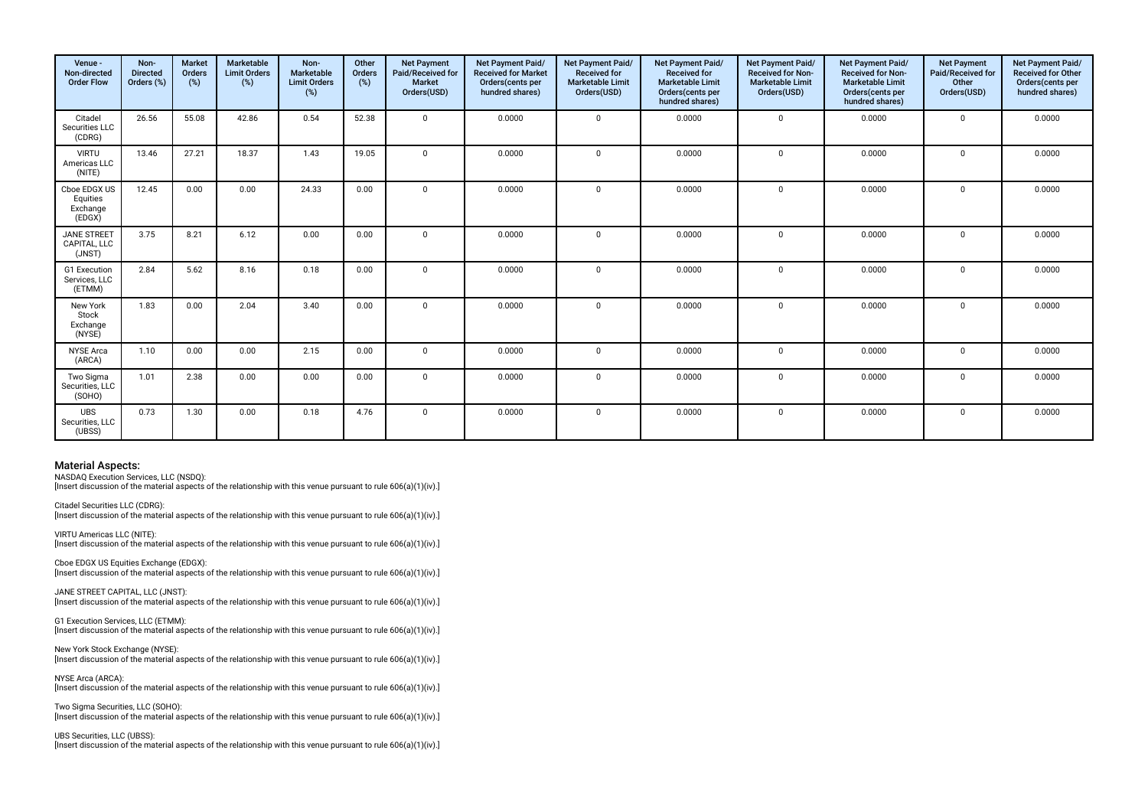| Venue -<br>Non-directed<br><b>Order Flow</b>   | Non-<br><b>Directed</b><br>Orders (%) | <b>Market</b><br><b>Orders</b><br>(%) | Marketable<br><b>Limit Orders</b><br>(%) | Non-<br>Marketable<br><b>Limit Orders</b><br>(%) | Other<br>Orders<br>(%) | <b>Net Payment</b><br>Paid/Received for<br><b>Market</b><br>Orders(USD) | Net Payment Paid/<br><b>Received for Market</b><br>Orders(cents per<br>hundred shares) | Net Payment Paid/<br><b>Received for</b><br><b>Marketable Limit</b><br>Orders(USD) | Net Payment Paid/<br><b>Received for</b><br><b>Marketable Limit</b><br>Orders(cents per<br>hundred shares) | Net Payment Paid/<br>Received for Non-<br><b>Marketable Limit</b><br>Orders(USD) | Net Payment Paid/<br>Received for Non-<br><b>Marketable Limit</b><br>Orders(cents per<br>hundred shares) | <b>Net Payment</b><br>Paid/Received for<br>Other<br>Orders(USD) | Net Payment Paid/<br>Received for Other<br>Orders(cents per<br>hundred shares) |
|------------------------------------------------|---------------------------------------|---------------------------------------|------------------------------------------|--------------------------------------------------|------------------------|-------------------------------------------------------------------------|----------------------------------------------------------------------------------------|------------------------------------------------------------------------------------|------------------------------------------------------------------------------------------------------------|----------------------------------------------------------------------------------|----------------------------------------------------------------------------------------------------------|-----------------------------------------------------------------|--------------------------------------------------------------------------------|
| Citadel<br>Securities LLC<br>(CDRG)            | 26.56                                 | 55.08                                 | 42.86                                    | 0.54                                             | 52.38                  | $\Omega$                                                                | 0.0000                                                                                 | $\Omega$                                                                           | 0.0000                                                                                                     | $\mathbf 0$                                                                      | 0.0000                                                                                                   | $\Omega$                                                        | 0.0000                                                                         |
| <b>VIRTU</b><br>Americas LLC<br>(NITE)         | 13.46                                 | 27.21                                 | 18.37                                    | 1.43                                             | 19.05                  | $\Omega$                                                                | 0.0000                                                                                 | $\Omega$                                                                           | 0.0000                                                                                                     | $\mathbf 0$                                                                      | 0.0000                                                                                                   | $\Omega$                                                        | 0.0000                                                                         |
| Cboe EDGX US<br>Equities<br>Exchange<br>(EDGX) | 12.45                                 | 0.00                                  | 0.00                                     | 24.33                                            | 0.00                   | $\mathbf{0}$                                                            | 0.0000                                                                                 | $\Omega$                                                                           | 0.0000                                                                                                     | 0                                                                                | 0.0000                                                                                                   | $\Omega$                                                        | 0.0000                                                                         |
| <b>JANE STREET</b><br>CAPITAL, LLC<br>(JNST)   | 3.75                                  | 8.21                                  | 6.12                                     | 0.00                                             | 0.00                   | $\mathbf{0}$                                                            | 0.0000                                                                                 | $\Omega$                                                                           | 0.0000                                                                                                     | $\mathbf 0$                                                                      | 0.0000                                                                                                   | $\Omega$                                                        | 0.0000                                                                         |
| G1 Execution<br>Services, LLC<br>(ETMM)        | 2.84                                  | 5.62                                  | 8.16                                     | 0.18                                             | 0.00                   | $\mathbf 0$                                                             | 0.0000                                                                                 | $\Omega$                                                                           | 0.0000                                                                                                     | 0                                                                                | 0.0000                                                                                                   | $\mathbf 0$                                                     | 0.0000                                                                         |
| New York<br>Stock<br>Exchange<br>(NYSE)        | 1.83                                  | 0.00                                  | 2.04                                     | 3.40                                             | 0.00                   | $\Omega$                                                                | 0.0000                                                                                 | $\Omega$                                                                           | 0.0000                                                                                                     | $\mathbf 0$                                                                      | 0.0000                                                                                                   | $\Omega$                                                        | 0.0000                                                                         |
| <b>NYSE</b> Arca<br>(ARCA)                     | 1.10                                  | 0.00                                  | 0.00                                     | 2.15                                             | 0.00                   | $\mathbf 0$                                                             | 0.0000                                                                                 | $\mathbf{0}$                                                                       | 0.0000                                                                                                     | $\mathbf 0$                                                                      | 0.0000                                                                                                   | $\Omega$                                                        | 0.0000                                                                         |
| Two Sigma<br>Securities, LLC<br>(SOHO)         | 1.01                                  | 2.38                                  | 0.00                                     | 0.00                                             | 0.00                   | $\Omega$                                                                | 0.0000                                                                                 | $\Omega$                                                                           | 0.0000                                                                                                     | $\mathbf 0$                                                                      | 0.0000                                                                                                   | $\Omega$                                                        | 0.0000                                                                         |
| <b>UBS</b><br>Securities, LLC<br>(UBSS)        | 0.73                                  | 1.30                                  | 0.00                                     | 0.18                                             | 4.76                   | $\mathbf{0}$                                                            | 0.0000                                                                                 | $\Omega$                                                                           | 0.0000                                                                                                     | 0                                                                                | 0.0000                                                                                                   | $\Omega$                                                        | 0.0000                                                                         |

NASDAQ Execution Services, LLC (NSDQ):

[Insert discussion of the material aspects of the relationship with this venue pursuant to rule 606(a)(1)(iv).]

Citadel Securities LLC (CDRG): [Insert discussion of the material aspects of the relationship with this venue pursuant to rule 606(a)(1)(iv).]

VIRTU Americas LLC (NITE): [Insert discussion of the material aspects of the relationship with this venue pursuant to rule 606(a)(1)(iv).]

Cboe EDGX US Equities Exchange (EDGX): [Insert discussion of the material aspects of the relationship with this venue pursuant to rule 606(a)(1)(iv).]

JANE STREET CAPITAL, LLC (JNST):  $\lim$ gert discussion of the material aspects of the relationship with this venue pursuant to rule 606(a)(1)(iv).

G1 Execution Services, LLC (ETMM): [Insert discussion of the material aspects of the relationship with this venue pursuant to rule 606(a)(1)(iv).]

New York Stock Exchange (NYSE): [Insert discussion of the material aspects of the relationship with this venue pursuant to rule 606(a)(1)(iv).]

NYSE Arca (ARCA): [Insert discussion of the material aspects of the relationship with this venue pursuant to rule 606(a)(1)(iv).]

Two Sigma Securities, LLC (SOHO): [Insert discussion of the material aspects of the relationship with this venue pursuant to rule 606(a)(1)(iv).]

UBS Securities, LLC (UBSS): [Insert discussion of the material aspects of the relationship with this venue pursuant to rule 606(a)(1)(iv).]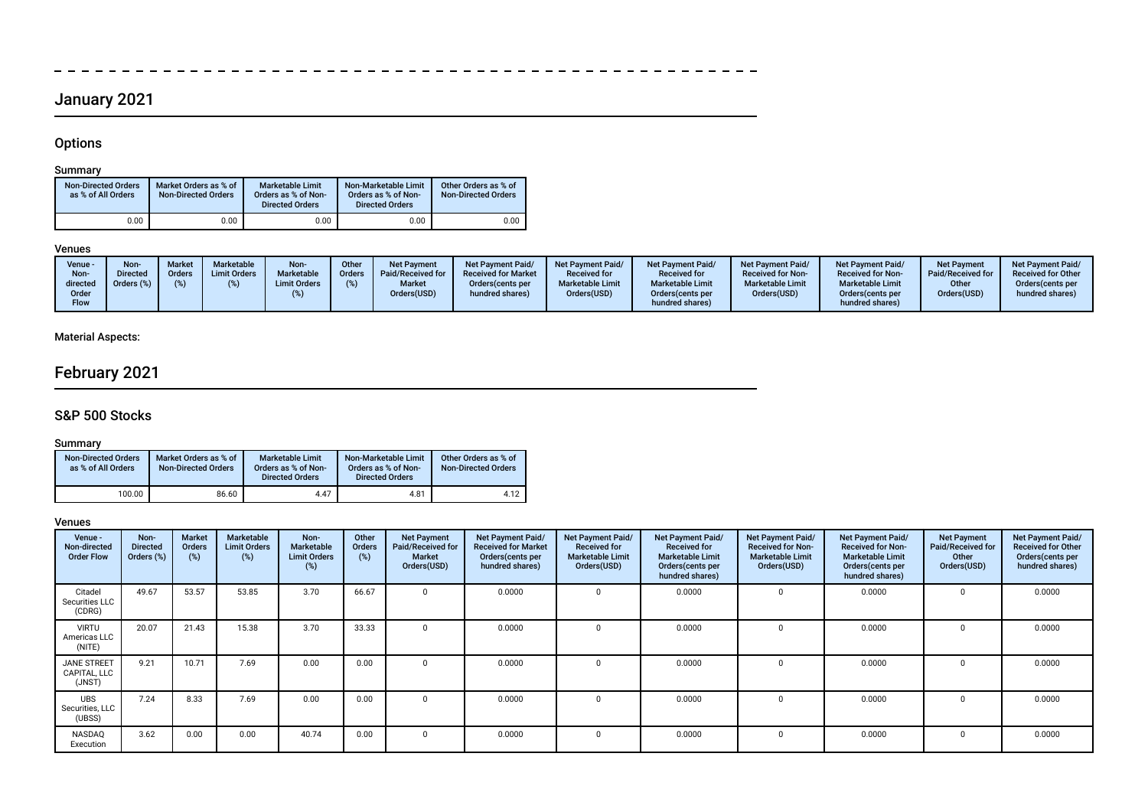# January 2021

------------

# **Options**

 $\frac{1}{2}$ 

# Summary

| <b>Non-Directed Orders</b><br>as % of All Orders | Market Orders as % of<br><b>Non-Directed Orders</b> | <b>Marketable Limit</b><br>Orders as % of Non-<br><b>Directed Orders</b> | Non-Marketable Limit<br>Orders as % of Non-<br><b>Directed Orders</b> | Other Orders as % of<br><b>Non-Directed Orders</b> |
|--------------------------------------------------|-----------------------------------------------------|--------------------------------------------------------------------------|-----------------------------------------------------------------------|----------------------------------------------------|
| 0.00                                             | 0.00                                                | 0.00                                                                     | 0.00                                                                  | 0.00                                               |

 $\overline{\phantom{a}}$ 

# Venues

|  | Venue -<br>Non-<br>directed<br>Order<br>Flow | Non-<br><b>Directed</b><br>Orders (%) | <b>Market</b><br><b>Orders</b> | Marketable<br><b>Limit Orders</b> | Non-<br><b>Marketable</b><br><b>Limit Orders</b> | Other<br>Orders | <b>Net Payment</b><br>Paid/Received for<br><b>Market</b><br>Orders(USD) | <b>Net Payment Paid/</b><br><b>Received for Market</b><br>Orders (cents per<br>hundred shares) | Net Payment Paid/<br><b>Received for</b><br><b>Marketable Limit</b><br>Orders(USD) | <b>Net Payment Paid/</b><br><b>Received for</b><br><b>Marketable Limit</b><br>Orders (cents per<br>hundred shares) | Net Payment Paid/<br><b>Received for Non-</b><br><b>Marketable Limit</b><br>Orders(USD) | Net Payment Paid/<br><b>Received for Non-</b><br><b>Marketable Limit</b><br>Orders cents per<br>hundred shares) | <b>Net Payment</b><br>Paid/Received for<br>Other<br>Orders(USD) | <b>Net Payment Paid/</b><br><b>Received for Other</b><br>Orders (cents per<br>hundred shares) |
|--|----------------------------------------------|---------------------------------------|--------------------------------|-----------------------------------|--------------------------------------------------|-----------------|-------------------------------------------------------------------------|------------------------------------------------------------------------------------------------|------------------------------------------------------------------------------------|--------------------------------------------------------------------------------------------------------------------|-----------------------------------------------------------------------------------------|-----------------------------------------------------------------------------------------------------------------|-----------------------------------------------------------------|-----------------------------------------------------------------------------------------------|
|--|----------------------------------------------|---------------------------------------|--------------------------------|-----------------------------------|--------------------------------------------------|-----------------|-------------------------------------------------------------------------|------------------------------------------------------------------------------------------------|------------------------------------------------------------------------------------|--------------------------------------------------------------------------------------------------------------------|-----------------------------------------------------------------------------------------|-----------------------------------------------------------------------------------------------------------------|-----------------------------------------------------------------|-----------------------------------------------------------------------------------------------|

------------------------

# Material Aspects:

# February 2021

# S&P 500 Stocks

## Summary

| <b>Non-Directed Orders</b><br>as % of All Orders | Market Orders as % of<br><b>Non-Directed Orders</b> | <b>Marketable Limit</b><br>Orders as % of Non-<br><b>Directed Orders</b> | Non-Marketable Limit<br>Orders as % of Non-<br><b>Directed Orders</b> | Other Orders as % of<br><b>Non-Directed Orders</b> |
|--------------------------------------------------|-----------------------------------------------------|--------------------------------------------------------------------------|-----------------------------------------------------------------------|----------------------------------------------------|
| 100.00                                           | 86.60                                               | 4.47                                                                     | 4.81                                                                  | 4.12                                               |

| Venue -<br>Non-directed<br><b>Order Flow</b> | Non-<br><b>Directed</b><br>Orders (%) | <b>Market</b><br>Orders<br>(%) | Marketable<br><b>Limit Orders</b><br>(%) | Non-<br>Marketable<br><b>Limit Orders</b><br>(%) | Other<br><b>Orders</b><br>(%) | <b>Net Payment</b><br>Paid/Received for<br><b>Market</b><br>Orders(USD) | Net Payment Paid/<br><b>Received for Market</b><br>Orders(cents per<br>hundred shares) | <b>Net Payment Paid/</b><br><b>Received for</b><br><b>Marketable Limit</b><br>Orders(USD) | Net Payment Paid/<br><b>Received for</b><br><b>Marketable Limit</b><br>Orders (cents per<br>hundred shares) | Net Payment Paid/<br><b>Received for Non-</b><br><b>Marketable Limit</b><br>Orders(USD) | Net Payment Paid/<br><b>Received for Non-</b><br><b>Marketable Limit</b><br>Orders(cents per<br>hundred shares) | <b>Net Payment</b><br>Paid/Received for<br>Other<br>Orders(USD) | Net Payment Paid/<br><b>Received for Other</b><br>Orders(cents per<br>hundred shares) |
|----------------------------------------------|---------------------------------------|--------------------------------|------------------------------------------|--------------------------------------------------|-------------------------------|-------------------------------------------------------------------------|----------------------------------------------------------------------------------------|-------------------------------------------------------------------------------------------|-------------------------------------------------------------------------------------------------------------|-----------------------------------------------------------------------------------------|-----------------------------------------------------------------------------------------------------------------|-----------------------------------------------------------------|---------------------------------------------------------------------------------------|
| Citadel<br>Securities LLC<br>(CDRG)          | 49.67                                 | 53.57                          | 53.85                                    | 3.70                                             | 66.67                         | $\mathbf{0}$                                                            | 0.0000                                                                                 |                                                                                           | 0.0000                                                                                                      | $^{\circ}$                                                                              | 0.0000                                                                                                          | $\Omega$                                                        | 0.0000                                                                                |
| <b>VIRTU</b><br>Americas LLC<br>(NITE)       | 20.07                                 | 21.43                          | 15.38                                    | 3.70                                             | 33.33                         | $\Omega$                                                                | 0.0000                                                                                 |                                                                                           | 0.0000                                                                                                      | 0                                                                                       | 0.0000                                                                                                          |                                                                 | 0.0000                                                                                |
| <b>JANE STREET</b><br>CAPITAL, LLC<br>(JNST) | 9.21                                  | 10.71                          | 7.69                                     | 0.00                                             | 0.00                          | $\Omega$                                                                | 0.0000                                                                                 |                                                                                           | 0.0000                                                                                                      | 0                                                                                       | 0.0000                                                                                                          |                                                                 | 0.0000                                                                                |
| <b>UBS</b><br>Securities, LLC<br>(UBSS)      | 7.24                                  | 8.33                           | 7.69                                     | 0.00                                             | 0.00                          | $\Omega$                                                                | 0.0000                                                                                 |                                                                                           | 0.0000                                                                                                      | 0                                                                                       | 0.0000                                                                                                          |                                                                 | 0.0000                                                                                |
| NASDAQ<br>Execution                          | 3.62                                  | 0.00                           | 0.00                                     | 40.74                                            | 0.00                          | $\Omega$                                                                | 0.0000                                                                                 |                                                                                           | 0.0000                                                                                                      | 0                                                                                       | 0.0000                                                                                                          |                                                                 | 0.0000                                                                                |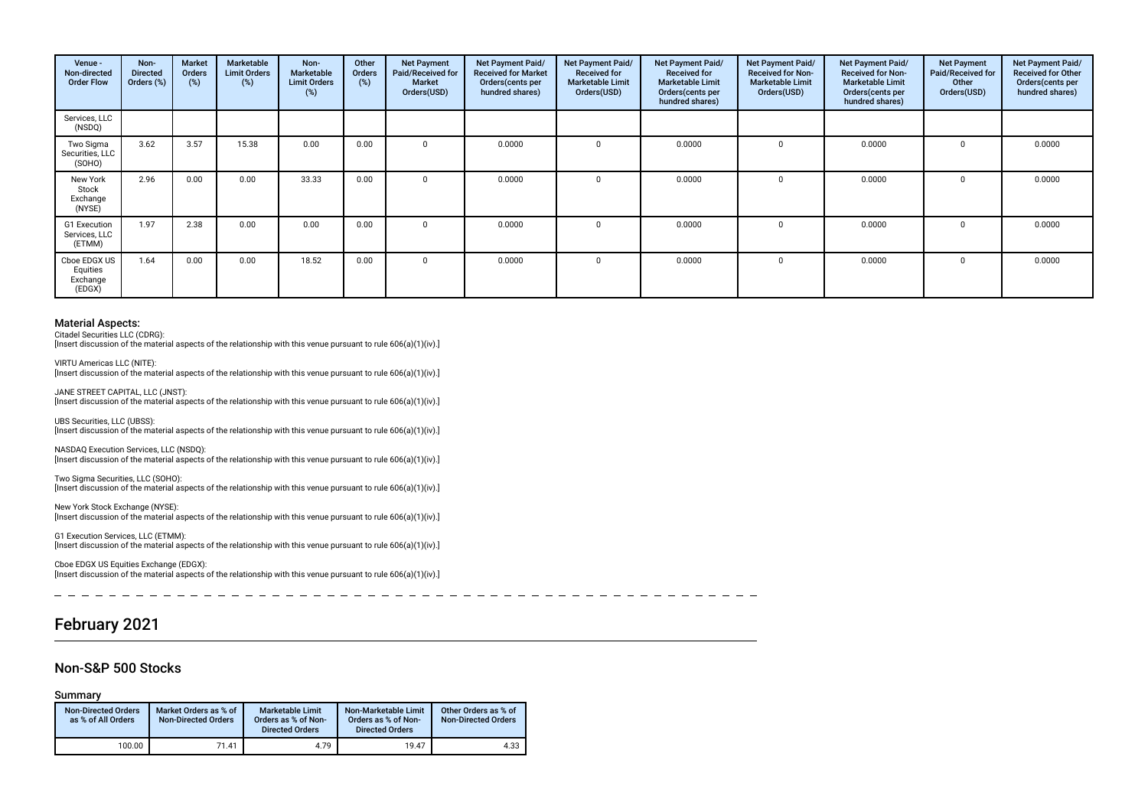| Venue -<br>Non-directed<br><b>Order Flow</b>   | Non-<br><b>Directed</b><br>Orders (%) | Market<br>Orders<br>(%) | Marketable<br><b>Limit Orders</b><br>(%) | Non-<br>Marketable<br><b>Limit Orders</b><br>(%) | Other<br>Orders<br>(%) | <b>Net Payment</b><br>Paid/Received for<br>Market<br>Orders(USD) | Net Payment Paid/<br><b>Received for Market</b><br>Orders(cents per<br>hundred shares) | <b>Net Payment Paid/</b><br><b>Received for</b><br><b>Marketable Limit</b><br>Orders(USD) | <b>Net Payment Paid/</b><br><b>Received for</b><br><b>Marketable Limit</b><br>Orders(cents per<br>hundred shares) | Net Payment Paid/<br><b>Received for Non-</b><br><b>Marketable Limit</b><br>Orders(USD) | Net Payment Paid/<br><b>Received for Non-</b><br><b>Marketable Limit</b><br>Orders (cents per<br>hundred shares) | <b>Net Payment</b><br>Paid/Received for<br>Other<br>Orders(USD) | Net Payment Paid/<br>Received for Other<br>Orders(cents per<br>hundred shares) |
|------------------------------------------------|---------------------------------------|-------------------------|------------------------------------------|--------------------------------------------------|------------------------|------------------------------------------------------------------|----------------------------------------------------------------------------------------|-------------------------------------------------------------------------------------------|-------------------------------------------------------------------------------------------------------------------|-----------------------------------------------------------------------------------------|------------------------------------------------------------------------------------------------------------------|-----------------------------------------------------------------|--------------------------------------------------------------------------------|
| Services, LLC<br>(NSDQ)                        |                                       |                         |                                          |                                                  |                        |                                                                  |                                                                                        |                                                                                           |                                                                                                                   |                                                                                         |                                                                                                                  |                                                                 |                                                                                |
| Two Sigma<br>Securities, LLC<br>(SOHO)         | 3.62                                  | 3.57                    | 15.38                                    | 0.00                                             | 0.00                   | $\Omega$                                                         | 0.0000                                                                                 |                                                                                           | 0.0000                                                                                                            | $\Omega$                                                                                | 0.0000                                                                                                           | $\Omega$                                                        | 0.0000                                                                         |
| New York<br>Stock<br>Exchange<br>(NYSE)        | 2.96                                  | 0.00                    | 0.00                                     | 33.33                                            | 0.00                   | $\Omega$                                                         | 0.0000                                                                                 |                                                                                           | 0.0000                                                                                                            |                                                                                         | 0.0000                                                                                                           |                                                                 | 0.0000                                                                         |
| G1 Execution<br>Services, LLC<br>(ETMM)        | 1.97                                  | 2.38                    | 0.00                                     | 0.00                                             | 0.00                   | $\Omega$                                                         | 0.0000                                                                                 |                                                                                           | 0.0000                                                                                                            |                                                                                         | 0.0000                                                                                                           | $\Omega$                                                        | 0.0000                                                                         |
| Cboe EDGX US<br>Equities<br>Exchange<br>(EDGX) | 1.64                                  | 0.00                    | 0.00                                     | 18.52                                            | 0.00                   | $\Omega$                                                         | 0.0000                                                                                 |                                                                                           | 0.0000                                                                                                            |                                                                                         | 0.0000                                                                                                           |                                                                 | 0.0000                                                                         |

Citadel Securities LLC (CDRG):

JANE STREET CAPITAL, LLC (JNST):

[Insert discussion of the material aspects of the relationship with this venue pursuant to rule 606(a)(1)(iv).]

VIRTU Americas LLC (NITE): [Insert discussion of the material aspects of the relationship with this venue pursuant to rule 606(a)(1)(iv).]

[Insert discussion of the material aspects of the relationship with this venue pursuant to rule 606(a)(1)(iv).] UBS Securities, LLC (UBSS): [Insert discussion of the material aspects of the relationship with this venue pursuant to rule 606(a)(1)(iv).]

NASDAQ Execution Services, LLC (NSDQ): [Insert discussion of the material aspects of the relationship with this venue pursuant to rule 606(a)(1)(iv).]

Two Sigma Securities, LLC (SOHO): [Insert discussion of the material aspects of the relationship with this venue pursuant to rule 606(a)(1)(iv).]

New York Stock Exchange (NYSE): [Insert discussion of the material aspects of the relationship with this venue pursuant to rule 606(a)(1)(iv).]

G1 Execution Services, LLC (ETMM): [Insert discussion of the material aspects of the relationship with this venue pursuant to rule 606(a)(1)(iv).]

Cboe EDGX US Equities Exchange (EDGX): [Insert discussion of the material aspects of the relationship with this venue pursuant to rule 606(a)(1)(iv).]

---------

# February 2021

### Non-S&P 500 Stocks

Summary

| <b>Non-Directed Orders</b><br>as % of All Orders | Market Orders as % of<br><b>Non-Directed Orders</b> | <b>Marketable Limit</b><br>Orders as % of Non-<br><b>Directed Orders</b> | Non-Marketable Limit<br>Orders as % of Non-<br><b>Directed Orders</b> | Other Orders as % of<br><b>Non-Directed Orders</b> |
|--------------------------------------------------|-----------------------------------------------------|--------------------------------------------------------------------------|-----------------------------------------------------------------------|----------------------------------------------------|
| 100.00                                           | 71.41                                               | 4.79                                                                     | 19.47                                                                 | 4.33                                               |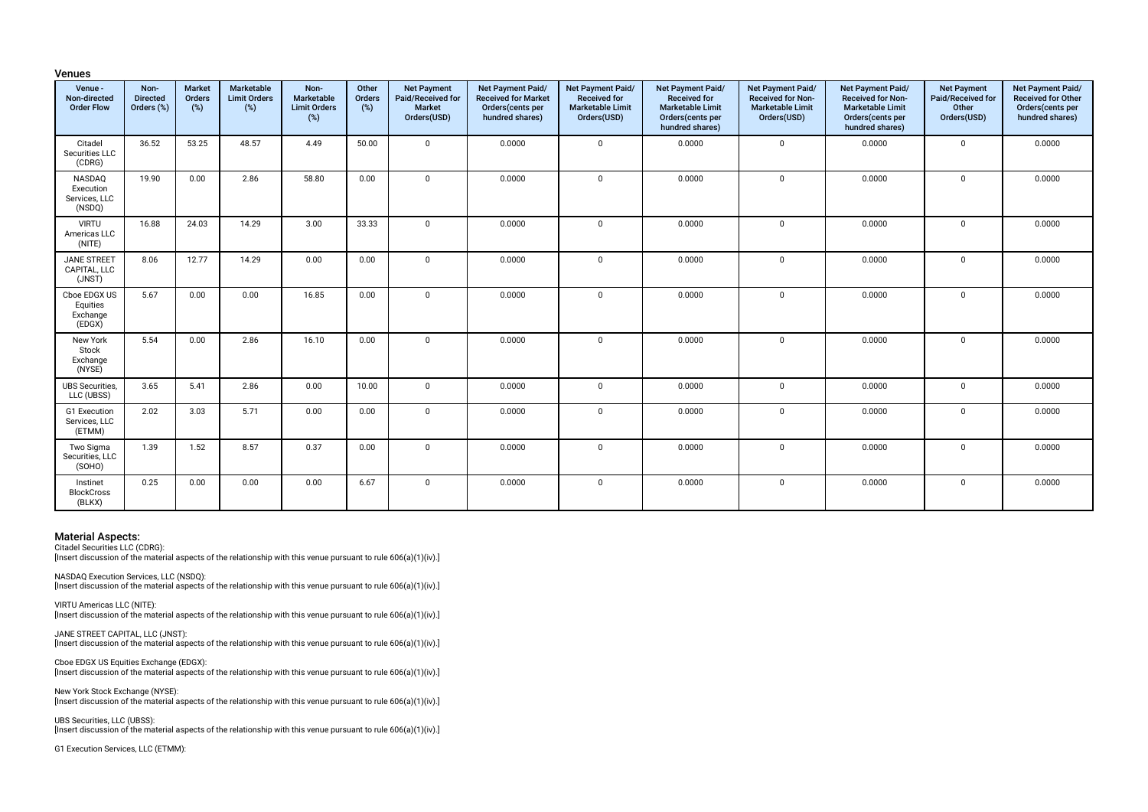| Venue -<br>Non-directed<br><b>Order Flow</b>   | Non-<br><b>Directed</b><br>Orders (%) | <b>Market</b><br>Orders<br>(%) | Marketable<br><b>Limit Orders</b><br>(%) | Non-<br><b>Marketable</b><br><b>Limit Orders</b><br>(%) | Other<br>Orders<br>(%) | <b>Net Payment</b><br>Paid/Received for<br><b>Market</b><br>Orders(USD) | Net Payment Paid/<br><b>Received for Market</b><br>Orders(cents per<br>hundred shares) | Net Payment Paid/<br>Received for<br><b>Marketable Limit</b><br>Orders(USD) | Net Payment Paid/<br>Received for<br><b>Marketable Limit</b><br>Orders(cents per<br>hundred shares) | Net Payment Paid/<br>Received for Non-<br><b>Marketable Limit</b><br>Orders(USD) | Net Payment Paid/<br>Received for Non-<br><b>Marketable Limit</b><br>Orders(cents per<br>hundred shares) | <b>Net Payment</b><br>Paid/Received for<br>Other<br>Orders(USD) | Net Payment Paid/<br>Received for Other<br>Orders(cents per<br>hundred shares) |
|------------------------------------------------|---------------------------------------|--------------------------------|------------------------------------------|---------------------------------------------------------|------------------------|-------------------------------------------------------------------------|----------------------------------------------------------------------------------------|-----------------------------------------------------------------------------|-----------------------------------------------------------------------------------------------------|----------------------------------------------------------------------------------|----------------------------------------------------------------------------------------------------------|-----------------------------------------------------------------|--------------------------------------------------------------------------------|
| Citadel<br>Securities LLC<br>(CDRG)            | 36.52                                 | 53.25                          | 48.57                                    | 4.49                                                    | 50.00                  | $\Omega$                                                                | 0.0000                                                                                 | $\mathbf 0$                                                                 | 0.0000                                                                                              | $\mathbf 0$                                                                      | 0.0000                                                                                                   | $\mathbf 0$                                                     | 0.0000                                                                         |
| NASDAQ<br>Execution<br>Services, LLC<br>(NSDQ) | 19.90                                 | 0.00                           | 2.86                                     | 58.80                                                   | 0.00                   | $\Omega$                                                                | 0.0000                                                                                 | $\mathbf 0$                                                                 | 0.0000                                                                                              | $\Omega$                                                                         | 0.0000                                                                                                   | $\mathbf 0$                                                     | 0.0000                                                                         |
| <b>VIRTU</b><br>Americas LLC<br>(NITE)         | 16.88                                 | 24.03                          | 14.29                                    | 3.00                                                    | 33.33                  | $\Omega$                                                                | 0.0000                                                                                 | $\mathbf 0$                                                                 | 0.0000                                                                                              | $\mathbf 0$                                                                      | 0.0000                                                                                                   | $\mathbf 0$                                                     | 0.0000                                                                         |
| <b>JANE STREET</b><br>CAPITAL, LLC<br>(JNST)   | 8.06                                  | 12.77                          | 14.29                                    | 0.00                                                    | 0.00                   | $\Omega$                                                                | 0.0000                                                                                 | $\mathbf 0$                                                                 | 0.0000                                                                                              | $\mathbf 0$                                                                      | 0.0000                                                                                                   | $\mathbf 0$                                                     | 0.0000                                                                         |
| Cboe EDGX US<br>Equities<br>Exchange<br>(EDGX) | 5.67                                  | 0.00                           | 0.00                                     | 16.85                                                   | 0.00                   | $\Omega$                                                                | 0.0000                                                                                 | $\mathsf 0$                                                                 | 0.0000                                                                                              | $\mathbf 0$                                                                      | 0.0000                                                                                                   | 0                                                               | 0.0000                                                                         |
| New York<br>Stock<br>Exchange<br>(NYSE)        | 5.54                                  | 0.00                           | 2.86                                     | 16.10                                                   | 0.00                   | $\Omega$                                                                | 0.0000                                                                                 | $\mathbf 0$                                                                 | 0.0000                                                                                              | $\mathbf 0$                                                                      | 0.0000                                                                                                   | $\mathbf 0$                                                     | 0.0000                                                                         |
| <b>UBS Securities,</b><br>LLC (UBSS)           | 3.65                                  | 5.41                           | 2.86                                     | 0.00                                                    | 10.00                  | $\mathbf 0$                                                             | 0.0000                                                                                 | $\mathbf 0$                                                                 | 0.0000                                                                                              | $\mathbf 0$                                                                      | 0.0000                                                                                                   | $\mathbf 0$                                                     | 0.0000                                                                         |
| G1 Execution<br>Services, LLC<br>(ETMM)        | 2.02                                  | 3.03                           | 5.71                                     | 0.00                                                    | 0.00                   | $\Omega$                                                                | 0.0000                                                                                 | $\mathbf 0$                                                                 | 0.0000                                                                                              | $\mathbf 0$                                                                      | 0.0000                                                                                                   | $\mathbf 0$                                                     | 0.0000                                                                         |
| Two Sigma<br>Securities, LLC<br>(SOHO)         | 1.39                                  | 1.52                           | 8.57                                     | 0.37                                                    | 0.00                   | $\Omega$                                                                | 0.0000                                                                                 | $\mathbf{0}$                                                                | 0.0000                                                                                              | $\mathbf 0$                                                                      | 0.0000                                                                                                   | $\mathbf 0$                                                     | 0.0000                                                                         |
| Instinet<br><b>BlockCross</b><br>(BLKX)        | 0.25                                  | 0.00                           | 0.00                                     | 0.00                                                    | 6.67                   | $\Omega$                                                                | 0.0000                                                                                 | $\Omega$                                                                    | 0.0000                                                                                              | $\Omega$                                                                         | 0.0000                                                                                                   | $\mathbf 0$                                                     | 0.0000                                                                         |

Venues

Citadel Securities LLC (CDRG):

[Insert discussion of the material aspects of the relationship with this venue pursuant to rule 606(a)(1)(iv).]

NASDAQ Execution Services, LLC (NSDQ): [Insert discussion of the material aspects of the relationship with this venue pursuant to rule 606(a)(1)(iv).]

VIRTU Americas LLC (NITE): [Insert discussion of the material aspects of the relationship with this venue pursuant to rule 606(a)(1)(iv).]

JANE STREET CAPITAL, LLC (JNST): [Insert discussion of the material aspects of the relationship with this venue pursuant to rule 606(a)(1)(iv).]

Cboe EDGX US Equities Exchange (EDGX): [Insert discussion of the material aspects of the relationship with this venue pursuant to rule 606(a)(1)(iv).]

New York Stock Exchange (NYSE): [Insert discussion of the material aspects of the relationship with this venue pursuant to rule 606(a)(1)(iv).]

UBS Securities, LLC (UBSS): [Insert discussion of the material aspects of the relationship with this venue pursuant to rule 606(a)(1)(iv).]

G1 Execution Services, LLC (ETMM):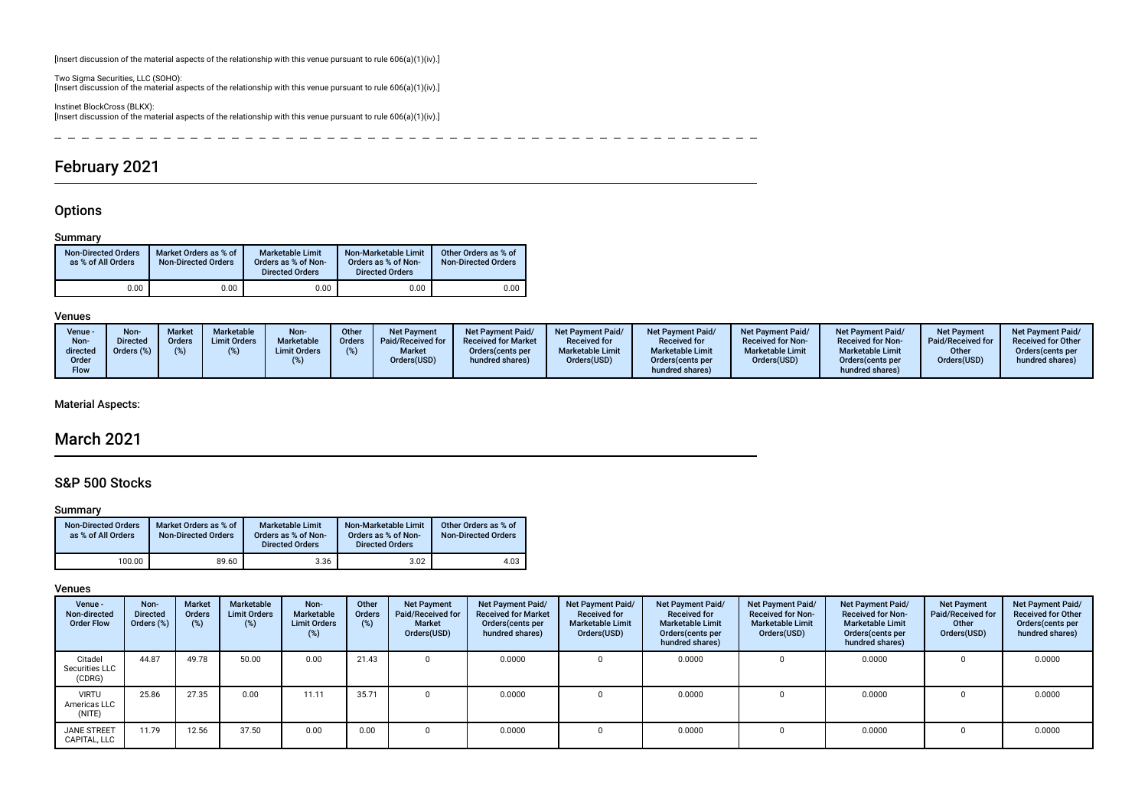[Insert discussion of the material aspects of the relationship with this venue pursuant to rule 606(a)(1)(iv).]

Two Sigma Securities, LLC (SOHO): [Insert discussion of the material aspects of the relationship with this venue pursuant to rule 606(a)(1)(iv).]

Instinet BlockCross (BLKX): [Insert discussion of the material aspects of the relationship with this venue pursuant to rule 606(a)(1)(iv).]

 $\frac{1}{2}$  $\sim$  $\overline{\phantom{a}}$ -------- $\overline{\phantom{0}}$  $\sim$  $\overline{\phantom{0}}$  $- - - - - -$ 

# February 2021

# **Options**

### Summary

| <b>Non-Directed Orders</b><br>as % of All Orders | Market Orders as % of<br><b>Non-Directed Orders</b> | <b>Marketable Limit</b><br>Orders as % of Non-<br><b>Directed Orders</b> | Non-Marketable Limit<br>Orders as % of Non-<br><b>Directed Orders</b> | Other Orders as % of<br><b>Non-Directed Orders</b> |
|--------------------------------------------------|-----------------------------------------------------|--------------------------------------------------------------------------|-----------------------------------------------------------------------|----------------------------------------------------|
| 0.00                                             | 0.00                                                | 0.00                                                                     | 0.00                                                                  | 0.00                                               |

#### Venues

| Venue -<br>Non-<br>directed<br>Order<br>Flow | Non-<br>Directed<br>Orders (%) | <b>Market</b><br>Orders | Marketable<br><b>Limit Orders</b> | Non-<br>Marketable<br><b>Limit Orders</b> | <b>Other</b><br>Orders | <b>Net Payment</b><br>Paid/Received for<br><b>Market</b><br>Orders(USD) | Net Payment Paid/<br><b>Received for Market</b><br>Orders (cents per<br>hundred shares) | Net Payment Paid/<br><b>Received for</b><br><b>Marketable Limit</b><br>Orders(USD) | <b>Net Payment Paid/</b><br><b>Received for</b><br><b>Marketable Limit</b><br>Orders (cents per<br>hundred shares) | <b>Net Payment Paid/</b><br><b>Received for Non-</b><br><b>Marketable Limit</b><br>Orders(USD) | Net Payment Paid/<br><b>Received for Non-</b><br><b>Marketable Limit</b><br>Orders (cents per<br>hundred shares) | <b>Net Payment</b><br>Paid/Received for<br>Other<br>Orders(USD) | <b>Net Payment Paid/</b><br><b>Received for Other</b><br>Orders(cents per<br>hundred shares) |
|----------------------------------------------|--------------------------------|-------------------------|-----------------------------------|-------------------------------------------|------------------------|-------------------------------------------------------------------------|-----------------------------------------------------------------------------------------|------------------------------------------------------------------------------------|--------------------------------------------------------------------------------------------------------------------|------------------------------------------------------------------------------------------------|------------------------------------------------------------------------------------------------------------------|-----------------------------------------------------------------|----------------------------------------------------------------------------------------------|
|                                              |                                |                         |                                   |                                           |                        |                                                                         |                                                                                         |                                                                                    |                                                                                                                    |                                                                                                |                                                                                                                  |                                                                 |                                                                                              |

### Material Aspects:

# March 2021

# S&P 500 Stocks

#### Summary

| <b>Non-Directed Orders</b><br>as % of All Orders | Market Orders as % of<br><b>Non-Directed Orders</b> | <b>Marketable Limit</b><br>Orders as % of Non-<br><b>Directed Orders</b> | Non-Marketable Limit<br>Orders as % of Non-<br><b>Directed Orders</b> | Other Orders as % of<br><b>Non-Directed Orders</b> |
|--------------------------------------------------|-----------------------------------------------------|--------------------------------------------------------------------------|-----------------------------------------------------------------------|----------------------------------------------------|
| 100.00                                           | 89.60                                               | 3.36                                                                     | 3.02                                                                  | 4.03                                               |

| Venue -<br>Non-directed<br><b>Order Flow</b> | Non-<br><b>Directed</b><br>Orders (%) | <b>Market</b><br><b>Orders</b><br>(%) | Marketable<br><b>Limit Orders</b><br>$(\%)$ | Non-<br>Marketable<br><b>Limit Orders</b> | Other<br>Orders<br>(%) | <b>Net Payment</b><br>Paid/Received for<br><b>Market</b><br>Orders(USD) | Net Payment Paid/<br><b>Received for Market</b><br>Orders (cents per<br>hundred shares) | Net Payment Paid/<br><b>Received for</b><br><b>Marketable Limit</b><br>Orders(USD) | Net Payment Paid/<br><b>Received for</b><br><b>Marketable Limit</b><br>Orders (cents per<br>hundred shares) | Net Payment Paid/<br><b>Received for Non-</b><br><b>Marketable Limit</b><br>Orders(USD) | Net Payment Paid/<br><b>Received for Non-</b><br><b>Marketable Limit</b><br>Orders (cents per<br>hundred shares) | <b>Net Payment</b><br>Paid/Received for<br>Other<br>Orders(USD) | Net Payment Paid/<br><b>Received for Other</b><br>Orders(cents per<br>hundred shares) |
|----------------------------------------------|---------------------------------------|---------------------------------------|---------------------------------------------|-------------------------------------------|------------------------|-------------------------------------------------------------------------|-----------------------------------------------------------------------------------------|------------------------------------------------------------------------------------|-------------------------------------------------------------------------------------------------------------|-----------------------------------------------------------------------------------------|------------------------------------------------------------------------------------------------------------------|-----------------------------------------------------------------|---------------------------------------------------------------------------------------|
| Citadel<br>Securities LLC<br>(CDRG)          | 44.87                                 | 49.78                                 | 50.00                                       | 0.00                                      | 21.43                  |                                                                         | 0.0000                                                                                  |                                                                                    | 0.0000                                                                                                      |                                                                                         | 0.0000                                                                                                           |                                                                 | 0.0000                                                                                |
| <b>VIRTU</b><br>Americas LLC<br>(NITE)       | 25.86                                 | 27.35                                 | 0.00                                        | 11.11                                     | 35.71                  |                                                                         | 0.0000                                                                                  |                                                                                    | 0.0000                                                                                                      |                                                                                         | 0.0000                                                                                                           |                                                                 | 0.0000                                                                                |
| <b>JANE STREET</b><br>CAPITAL, LLC           | 11.79                                 | 12.56                                 | 37.50                                       | 0.00                                      | 0.00                   |                                                                         | 0.0000                                                                                  |                                                                                    | 0.0000                                                                                                      |                                                                                         | 0.0000                                                                                                           |                                                                 | 0.0000                                                                                |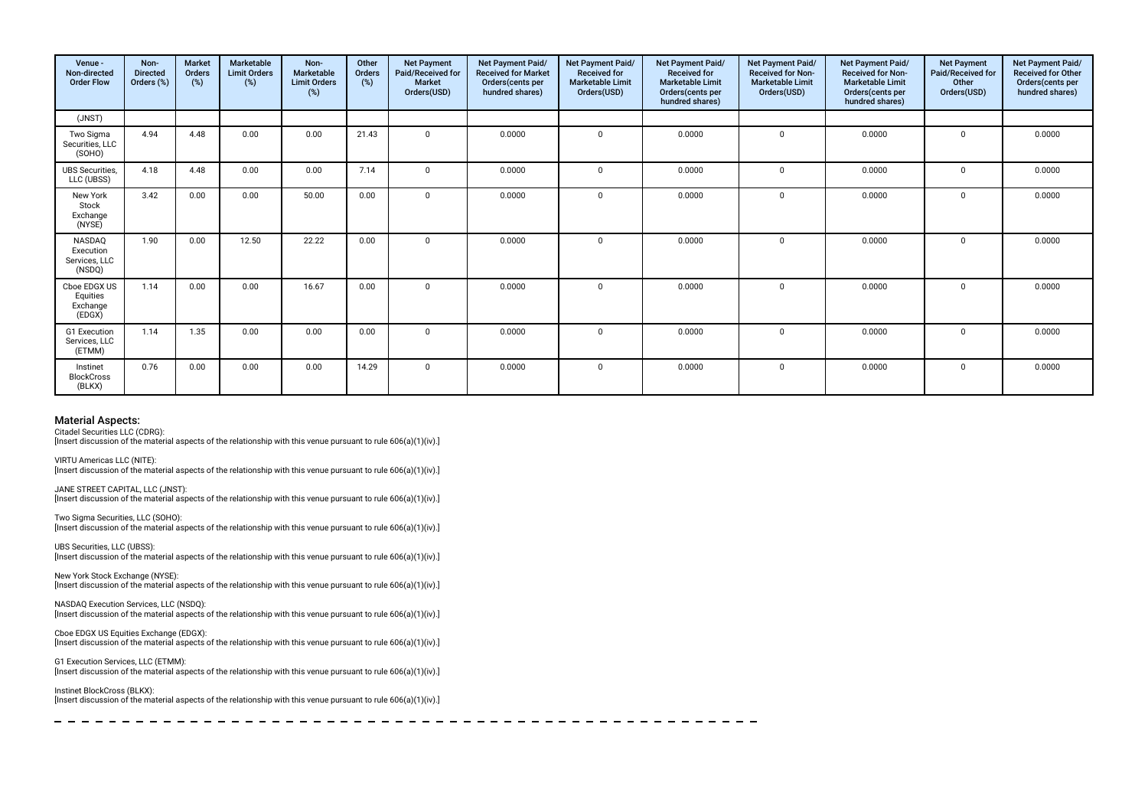| Venue -<br>Non-directed<br><b>Order Flow</b>   | Non-<br><b>Directed</b><br>Orders (%) | <b>Market</b><br>Orders<br>(%) | Marketable<br><b>Limit Orders</b><br>$(\%)$ | Non-<br>Marketable<br><b>Limit Orders</b><br>(%) | Other<br>Orders<br>(%) | <b>Net Payment</b><br>Paid/Received for<br><b>Market</b><br>Orders(USD) | Net Payment Paid/<br><b>Received for Market</b><br>Orders(cents per<br>hundred shares) | Net Payment Paid/<br><b>Received for</b><br><b>Marketable Limit</b><br>Orders(USD) | Net Payment Paid/<br><b>Received for</b><br><b>Marketable Limit</b><br>Orders(cents per<br>hundred shares) | <b>Net Payment Paid/</b><br><b>Received for Non-</b><br><b>Marketable Limit</b><br>Orders(USD) | Net Payment Paid/<br><b>Received for Non-</b><br><b>Marketable Limit</b><br>Orders(cents per<br>hundred shares) | <b>Net Payment</b><br>Paid/Received for<br>Other<br>Orders(USD) | Net Payment Paid/<br><b>Received for Other</b><br>Orders(cents per<br>hundred shares) |
|------------------------------------------------|---------------------------------------|--------------------------------|---------------------------------------------|--------------------------------------------------|------------------------|-------------------------------------------------------------------------|----------------------------------------------------------------------------------------|------------------------------------------------------------------------------------|------------------------------------------------------------------------------------------------------------|------------------------------------------------------------------------------------------------|-----------------------------------------------------------------------------------------------------------------|-----------------------------------------------------------------|---------------------------------------------------------------------------------------|
| (JNST)                                         |                                       |                                |                                             |                                                  |                        |                                                                         |                                                                                        |                                                                                    |                                                                                                            |                                                                                                |                                                                                                                 |                                                                 |                                                                                       |
| Two Sigma<br>Securities, LLC<br>(SOHO)         | 4.94                                  | 4.48                           | 0.00                                        | 0.00                                             | 21.43                  | $\mathbf 0$                                                             | 0.0000                                                                                 | $\mathbf 0$                                                                        | 0.0000                                                                                                     | $\mathbf 0$                                                                                    | 0.0000                                                                                                          | $\mathbf 0$                                                     | 0.0000                                                                                |
| <b>UBS Securities.</b><br>LLC (UBSS)           | 4.18                                  | 4.48                           | 0.00                                        | 0.00                                             | 7.14                   | $\Omega$                                                                | 0.0000                                                                                 | $\Omega$                                                                           | 0.0000                                                                                                     | $^{\circ}$                                                                                     | 0.0000                                                                                                          | $\Omega$                                                        | 0.0000                                                                                |
| New York<br>Stock<br>Exchange<br>(NYSE)        | 3.42                                  | 0.00                           | 0.00                                        | 50.00                                            | 0.00                   | $\Omega$                                                                | 0.0000                                                                                 | $\mathbf 0$                                                                        | 0.0000                                                                                                     | $\mathbf 0$                                                                                    | 0.0000                                                                                                          | $\mathbf{0}$                                                    | 0.0000                                                                                |
| NASDAQ<br>Execution<br>Services, LLC<br>(NSDQ) | 1.90                                  | 0.00                           | 12.50                                       | 22.22                                            | 0.00                   |                                                                         | 0.0000                                                                                 | $\Omega$                                                                           | 0.0000                                                                                                     | $\Omega$                                                                                       | 0.0000                                                                                                          | $\Omega$                                                        | 0.0000                                                                                |
| Cboe EDGX US<br>Equities<br>Exchange<br>(EDGX) | 1.14                                  | 0.00                           | 0.00                                        | 16.67                                            | 0.00                   | $\Omega$                                                                | 0.0000                                                                                 | $\Omega$                                                                           | 0.0000                                                                                                     | $\Omega$                                                                                       | 0.0000                                                                                                          | $\Omega$                                                        | 0.0000                                                                                |
| G1 Execution<br>Services, LLC<br>(ETMM)        | 1.14                                  | 1.35                           | 0.00                                        | 0.00                                             | 0.00                   | $\Omega$                                                                | 0.0000                                                                                 | $\Omega$                                                                           | 0.0000                                                                                                     | $\mathbf 0$                                                                                    | 0.0000                                                                                                          | $\Omega$                                                        | 0.0000                                                                                |
| Instinet<br><b>BlockCross</b><br>(BLKX)        | 0.76                                  | 0.00                           | 0.00                                        | 0.00                                             | 14.29                  | $\Omega$                                                                | 0.0000                                                                                 | $\mathbf 0$                                                                        | 0.0000                                                                                                     | $\mathbf 0$                                                                                    | 0.0000                                                                                                          | $\mathbf 0$                                                     | 0.0000                                                                                |

Citadel Securities LLC (CDRG):

[Insert discussion of the material aspects of the relationship with this venue pursuant to rule 606(a)(1)(iv).]

VIRTU Americas LLC (NITE):

[Insert discussion of the material aspects of the relationship with this venue pursuant to rule 606(a)(1)(iv).]

JANE STREET CAPITAL, LLC (JNST): [Insert discussion of the material aspects of the relationship with this venue pursuant to rule 606(a)(1)(iv).]

Two Sigma Securities, LLC (SOHO): [Insert discussion of the material aspects of the relationship with this venue pursuant to rule  $606(a)(1)(iv)$ .]

UBS Securities, LLC (UBSS): [Insert discussion of the material aspects of the relationship with this venue pursuant to rule 606(a)(1)(iv).]

New York Stock Exchange (NYSE): [Insert discussion of the material aspects of the relationship with this venue pursuant to rule 606(a)(1)(iv).]

NASDAQ Execution Services, LLC (NSDQ): [Insert discussion of the material aspects of the relationship with this venue pursuant to rule 606(a)(1)(iv).]

Cboe EDGX US Equities Exchange (EDGX): Insert discussion of the material aspects of the relationship with this venue pursuant to rule 606(a)(1)(iv).]

G1 Execution Services, LLC (ETMM): [Insert discussion of the material aspects of the relationship with this venue pursuant to rule 606(a)(1)(iv).]

Instinet BlockCross (BLKX): [Insert discussion of the material aspects of the relationship with this venue pursuant to rule 606(a)(1)(iv).]

-------------------------- $\frac{1}{2}$  $\overline{\phantom{0}}$  $-$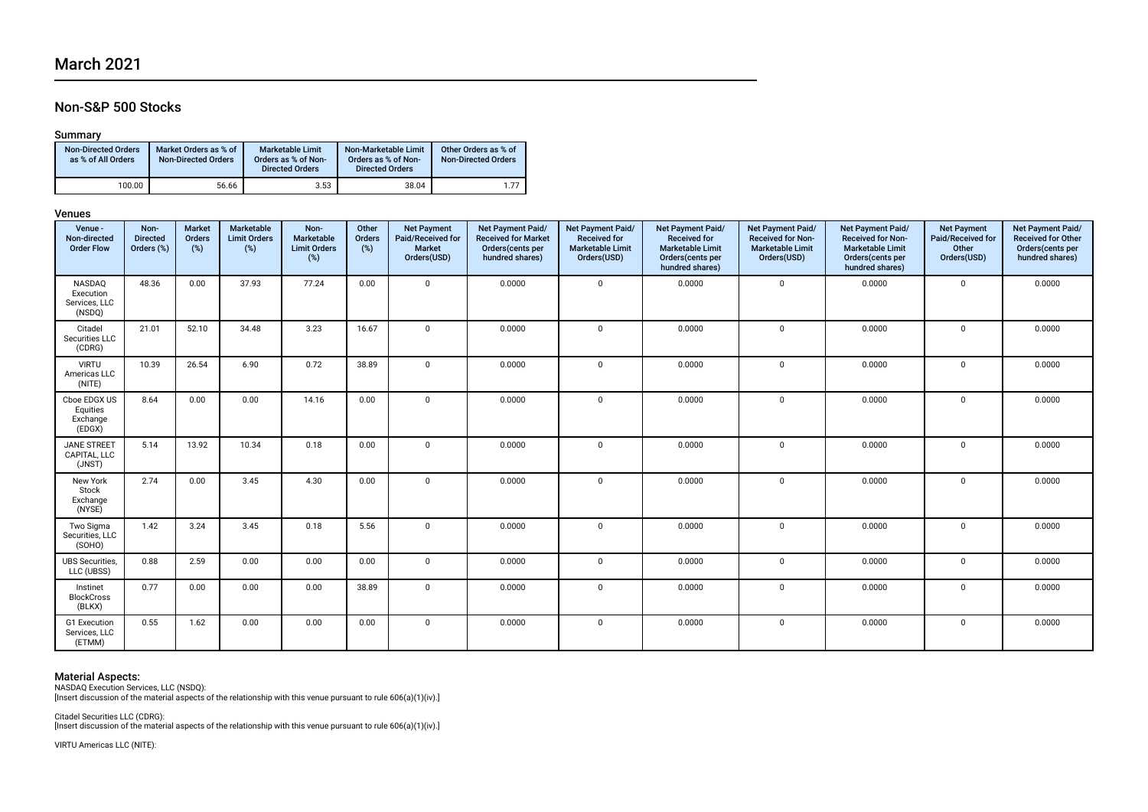# Non-S&P 500 Stocks

### Summary

| <b>Non-Directed Orders</b><br>as % of All Orders | Market Orders as % of<br><b>Non-Directed Orders</b> | <b>Marketable Limit</b><br>Orders as % of Non-<br><b>Directed Orders</b> | Non-Marketable Limit<br>Orders as % of Non-<br><b>Directed Orders</b> | Other Orders as % of<br><b>Non-Directed Orders</b> |
|--------------------------------------------------|-----------------------------------------------------|--------------------------------------------------------------------------|-----------------------------------------------------------------------|----------------------------------------------------|
| 100.00                                           | 56.66                                               | 3.53                                                                     | 38.04                                                                 | 1.77                                               |

#### Venues

| Venue -<br>Non-directed<br><b>Order Flow</b>   | Non-<br><b>Directed</b><br>Orders (%) | <b>Market</b><br>Orders<br>(%) | <b>Marketable</b><br><b>Limit Orders</b><br>(%) | Non-<br>Marketable<br><b>Limit Orders</b><br>(%) | Other<br>Orders<br>(%) | <b>Net Payment</b><br>Paid/Received for<br>Market<br>Orders(USD) | Net Payment Paid/<br><b>Received for Market</b><br>Orders(cents per<br>hundred shares) | Net Payment Paid/<br><b>Received for</b><br><b>Marketable Limit</b><br>Orders(USD) | Net Payment Paid/<br><b>Received for</b><br><b>Marketable Limit</b><br>Orders(cents per<br>hundred shares) | Net Payment Paid/<br><b>Received for Non-</b><br><b>Marketable Limit</b><br>Orders(USD) | Net Payment Paid/<br><b>Received for Non-</b><br><b>Marketable Limit</b><br>Orders(cents per<br>hundred shares) | <b>Net Payment</b><br>Paid/Received for<br>Other<br>Orders(USD) | Net Payment Paid/<br>Received for Other<br>Orders(cents per<br>hundred shares) |
|------------------------------------------------|---------------------------------------|--------------------------------|-------------------------------------------------|--------------------------------------------------|------------------------|------------------------------------------------------------------|----------------------------------------------------------------------------------------|------------------------------------------------------------------------------------|------------------------------------------------------------------------------------------------------------|-----------------------------------------------------------------------------------------|-----------------------------------------------------------------------------------------------------------------|-----------------------------------------------------------------|--------------------------------------------------------------------------------|
| NASDAQ<br>Execution<br>Services, LLC<br>(NSDQ) | 48.36                                 | 0.00                           | 37.93                                           | 77.24                                            | 0.00                   | $\Omega$                                                         | 0.0000                                                                                 | $\mathbf 0$                                                                        | 0.0000                                                                                                     | $\mathbf{0}$                                                                            | 0.0000                                                                                                          | $\mathbf 0$                                                     | 0.0000                                                                         |
| Citadel<br>Securities LLC<br>(CDRG)            | 21.01                                 | 52.10                          | 34.48                                           | 3.23                                             | 16.67                  | $\Omega$                                                         | 0.0000                                                                                 | $\Omega$                                                                           | 0.0000                                                                                                     | $\mathbf 0$                                                                             | 0.0000                                                                                                          | $\mathbf 0$                                                     | 0.0000                                                                         |
| <b>VIRTU</b><br>Americas LLC<br>(NITE)         | 10.39                                 | 26.54                          | 6.90                                            | 0.72                                             | 38.89                  | $\Omega$                                                         | 0.0000                                                                                 | $\mathbf{0}$                                                                       | 0.0000                                                                                                     | 0                                                                                       | 0.0000                                                                                                          | $\mathbf 0$                                                     | 0.0000                                                                         |
| Cboe EDGX US<br>Equities<br>Exchange<br>(EDGX) | 8.64                                  | 0.00                           | 0.00                                            | 14.16                                            | 0.00                   | $\Omega$                                                         | 0.0000                                                                                 | $\mathbf 0$                                                                        | 0.0000                                                                                                     | $\mathbf{0}$                                                                            | 0.0000                                                                                                          | $\mathbf 0$                                                     | 0.0000                                                                         |
| <b>JANE STREET</b><br>CAPITAL, LLC<br>(JNST)   | 5.14                                  | 13.92                          | 10.34                                           | 0.18                                             | 0.00                   | $\mathbf{0}$                                                     | 0.0000                                                                                 | $\mathbf 0$                                                                        | 0.0000                                                                                                     | $\mathbf 0$                                                                             | 0.0000                                                                                                          | $\mathbf 0$                                                     | 0.0000                                                                         |
| New York<br>Stock<br>Exchange<br>(NYSE)        | 2.74                                  | 0.00                           | 3.45                                            | 4.30                                             | 0.00                   | $\Omega$                                                         | 0.0000                                                                                 | $\mathbf 0$                                                                        | 0.0000                                                                                                     | 0                                                                                       | 0.0000                                                                                                          | 0                                                               | 0.0000                                                                         |
| Two Sigma<br>Securities, LLC<br>(SOHO)         | 1.42                                  | 3.24                           | 3.45                                            | 0.18                                             | 5.56                   | $\mathbf{0}$                                                     | 0.0000                                                                                 | $\mathbf 0$                                                                        | 0.0000                                                                                                     | 0                                                                                       | 0.0000                                                                                                          | $\mathbf 0$                                                     | 0.0000                                                                         |
| <b>UBS Securities</b><br>LLC (UBSS)            | 0.88                                  | 2.59                           | 0.00                                            | 0.00                                             | 0.00                   | $\Omega$                                                         | 0.0000                                                                                 | $\mathbf 0$                                                                        | 0.0000                                                                                                     | 0                                                                                       | 0.0000                                                                                                          | $\mathbf 0$                                                     | 0.0000                                                                         |
| Instinet<br><b>BlockCross</b><br>(BLKX)        | 0.77                                  | 0.00                           | 0.00                                            | 0.00                                             | 38.89                  | $\Omega$                                                         | 0.0000                                                                                 | $\mathbf 0$                                                                        | 0.0000                                                                                                     | 0                                                                                       | 0.0000                                                                                                          | $\mathbf 0$                                                     | 0.0000                                                                         |
| G1 Execution<br>Services, LLC<br>(ETMM)        | 0.55                                  | 1.62                           | 0.00                                            | 0.00                                             | 0.00                   | $\mathbf{0}$                                                     | 0.0000                                                                                 | $\mathbf 0$                                                                        | 0.0000                                                                                                     | 0                                                                                       | 0.0000                                                                                                          | $\mathbf 0$                                                     | 0.0000                                                                         |

**Material Aspects:**<br>NASDAQ Execution Services, LLC (NSDQ):<br>[Insert discussion of the material aspects of the relationship with this venue pursuant to rule 606(a)(1)(iv).]

Citadel Securities LLC (CDRG): [Insert discussion of the material aspects of the relationship with this venue pursuant to rule 606(a)(1)(iv).]

VIRTU Americas LLC (NITE):